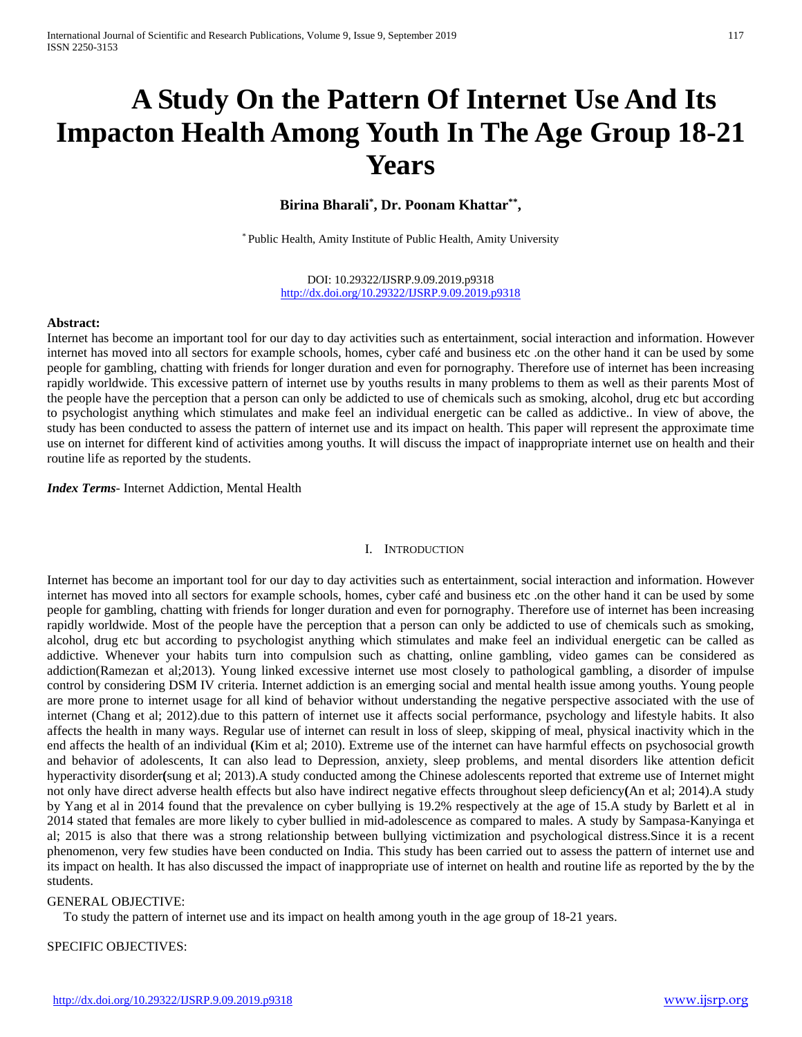# **A Study On the Pattern Of Internet Use And Its Impacton Health Among Youth In The Age Group 18-21 Years**

## **Birina Bharali\* , Dr. Poonam Khattar\*\*,**

\* Public Health, Amity Institute of Public Health, Amity University

DOI: 10.29322/IJSRP.9.09.2019.p9318 <http://dx.doi.org/10.29322/IJSRP.9.09.2019.p9318>

#### **Abstract:**

Internet has become an important tool for our day to day activities such as entertainment, social interaction and information. However internet has moved into all sectors for example schools, homes, cyber café and business etc .on the other hand it can be used by some people for gambling, chatting with friends for longer duration and even for pornography. Therefore use of internet has been increasing rapidly worldwide. This excessive pattern of internet use by youths results in many problems to them as well as their parents Most of the people have the perception that a person can only be addicted to use of chemicals such as smoking, alcohol, drug etc but according to psychologist anything which stimulates and make feel an individual energetic can be called as addictive.. In view of above, the study has been conducted to assess the pattern of internet use and its impact on health. This paper will represent the approximate time use on internet for different kind of activities among youths. It will discuss the impact of inappropriate internet use on health and their routine life as reported by the students.

*Index Terms*- Internet Addiction, Mental Health

#### I. INTRODUCTION

Internet has become an important tool for our day to day activities such as entertainment, social interaction and information. However internet has moved into all sectors for example schools, homes, cyber café and business etc .on the other hand it can be used by some people for gambling, chatting with friends for longer duration and even for pornography. Therefore use of internet has been increasing rapidly worldwide. Most of the people have the perception that a person can only be addicted to use of chemicals such as smoking, alcohol, drug etc but according to psychologist anything which stimulates and make feel an individual energetic can be called as addictive. Whenever your habits turn into compulsion such as chatting, online gambling, video games can be considered as addiction(Ramezan et al;2013). Young linked excessive internet use most closely to pathological gambling, a disorder of impulse control by considering DSM IV criteria. Internet addiction is an emerging social and mental health issue among youths. Young people are more prone to internet usage for all kind of behavior without understanding the negative perspective associated with the use of internet (Chang et al; 2012).due to this pattern of internet use it affects social performance, psychology and lifestyle habits. It also affects the health in many ways. Regular use of internet can result in loss of sleep, skipping of meal, physical inactivity which in the end affects the health of an individual **(**Kim et al; 2010). Extreme use of the internet can have harmful effects on psychosocial growth and behavior of adolescents, It can also lead to Depression, anxiety, sleep problems, and mental disorders like attention deficit hyperactivity disorder**(**sung et al; 2013).A study conducted among the Chinese adolescents reported that extreme use of Internet might not only have direct adverse health effects but also have indirect negative effects throughout sleep deficiency**(**An et al; 2014).A study by Yang et al in 2014 found that the prevalence on cyber bullying is 19.2% respectively at the age of 15.A study by Barlett et al in 2014 stated that females are more likely to cyber bullied in mid-adolescence as compared to males. A study by Sampasa-Kanyinga et al; 2015 is also that there was a strong relationship between bullying victimization and psychological distress.Since it is a recent phenomenon, very few studies have been conducted on India. This study has been carried out to assess the pattern of internet use and its impact on health. It has also discussed the impact of inappropriate use of internet on health and routine life as reported by the by the students.

#### GENERAL OBJECTIVE:

To study the pattern of internet use and its impact on health among youth in the age group of 18-21 years.

#### SPECIFIC OBJECTIVES: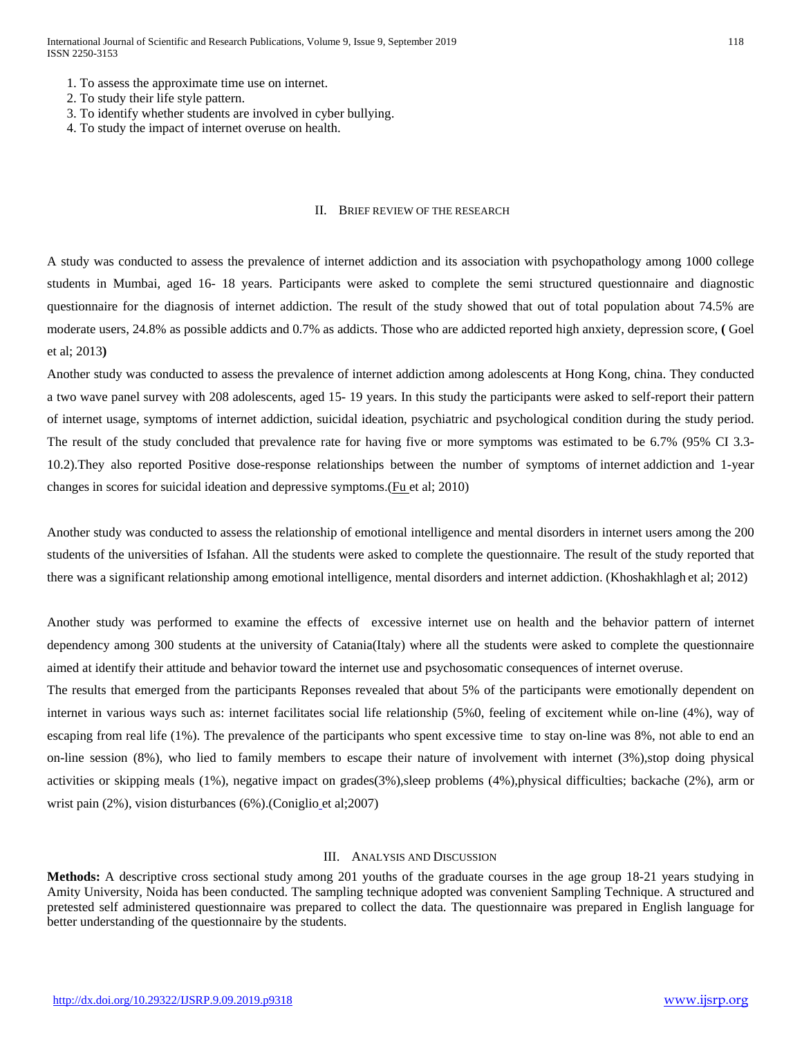- 1. To assess the approximate time use on internet.
- 2. To study their life style pattern.
- 3. To identify whether students are involved in cyber bullying.
- 4. To study the impact of internet overuse on health.

## II. BRIEF REVIEW OF THE RESEARCH

A study was conducted to assess the prevalence of internet addiction and its association with psychopathology among 1000 college students in Mumbai, aged 16- 18 years. Participants were asked to complete the semi structured questionnaire and diagnostic questionnaire for the diagnosis of internet addiction. The result of the study showed that out of total population about 74.5% are moderate users, 24.8% as possible addicts and 0.7% as addicts. Those who are addicted reported high anxiety, depression score, **(** Goel et al; 2013**)**

Another study was conducted to assess the prevalence of internet addiction among adolescents at Hong Kong, china. They conducted a two wave panel survey with 208 adolescents, aged 15- 19 years. In this study the participants were asked to self-report their pattern of internet usage, symptoms of internet addiction, suicidal ideation, psychiatric and psychological condition during the study period. The result of the study concluded that prevalence rate for having five or more symptoms was estimated to be 6.7% (95% CI 3.3- 10.2).They also reported Positive dose-response relationships between the number of symptoms of internet addiction and 1-year changes in scores for suicidal ideation and depressive symptoms.[\(Fu e](http://www.ncbi.nlm.nih.gov/pubmed/?term=Fu%20KW%5BAuthor%5D&cauthor=true&cauthor_uid=20513862)t al; 2010)

Another study was conducted to assess the relationship of emotional intelligence and mental disorders in internet users among the 200 students of the universities of Isfahan. All the students were asked to complete the questionnaire. The result of the study reported that there was a significant relationship among emotional intelligence, mental disorders and internet addiction. [\(Khoshakhlagh](http://www.ncbi.nlm.nih.gov/pubmed/?term=Khoshakhlagh%20H%5Bauth%5D) et al; 2012)

Another study was performed to examine the effects of excessive internet use on health and the behavior pattern of internet dependency among 300 students at the university of Catania(Italy) where all the students were asked to complete the questionnaire aimed at identify their attitude and behavior toward the internet use and psychosomatic consequences of internet overuse.

The results that emerged from the participants Reponses revealed that about 5% of the participants were emotionally dependent on internet in various ways such as: internet facilitates social life relationship (5%0, feeling of excitement while on-line (4%), way of escaping from real life (1%). The prevalence of the participants who spent excessive time to stay on-line was 8%, not able to end an on-line session  $(8\%)$ , who lied to family members to escape their nature of involvement with internet  $(3\%)$ , stop doing physical activities or skipping meals (1%), negative impact on grades(3%),sleep problems (4%),physical difficulties; backache (2%), arm or wrist pain (2%), vision disturbances (6%).[\(Coniglio](http://www.ncbi.nlm.nih.gov/pubmed/?term=Coniglio%20MA%5BAuthor%5D&cauthor=true&cauthor_uid=18216888) et al;2007)

#### III. ANALYSIS AND DISCUSSION

**Methods:** A descriptive cross sectional study among 201 youths of the graduate courses in the age group 18-21 years studying in Amity University, Noida has been conducted. The sampling technique adopted was convenient Sampling Technique. A structured and pretested self administered questionnaire was prepared to collect the data. The questionnaire was prepared in English language for better understanding of the questionnaire by the students.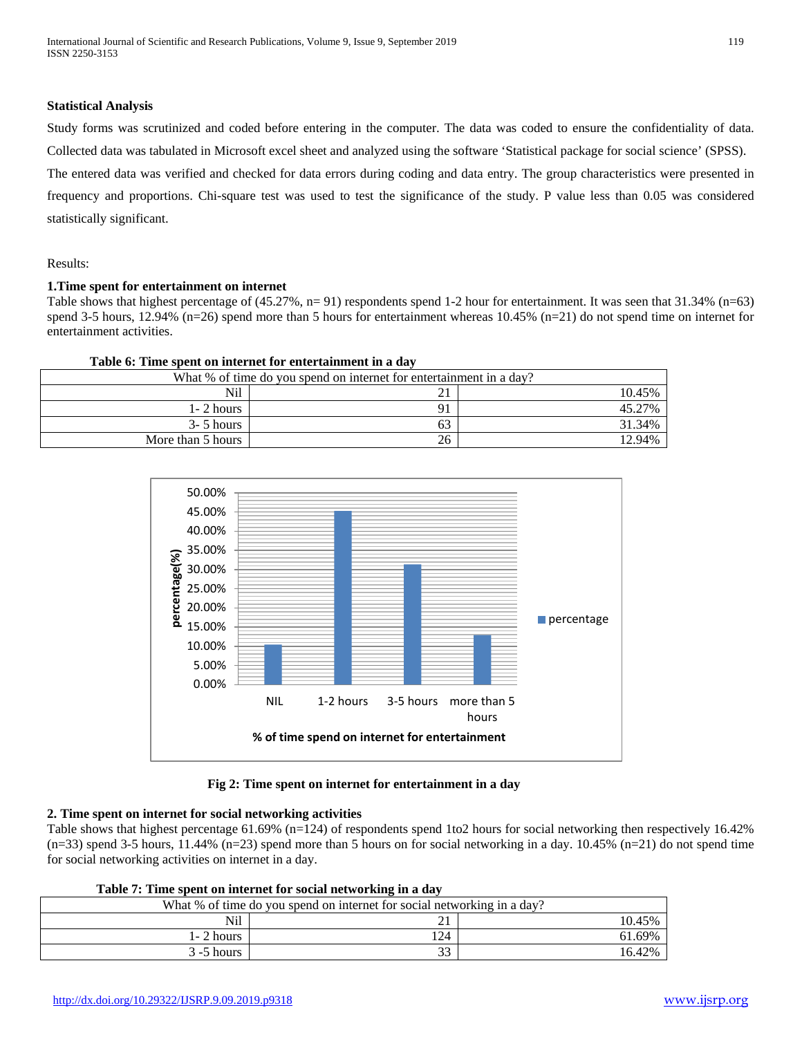#### **Statistical Analysis**

Study forms was scrutinized and coded before entering in the computer. The data was coded to ensure the confidentiality of data. Collected data was tabulated in Microsoft excel sheet and analyzed using the software 'Statistical package for social science' (SPSS). The entered data was verified and checked for data errors during coding and data entry. The group characteristics were presented in frequency and proportions. Chi-square test was used to test the significance of the study. P value less than 0.05 was considered statistically significant.

Results:

#### **1.Time spent for entertainment on internet**

Table shows that highest percentage of (45.27%, n= 91) respondents spend 1-2 hour for entertainment. It was seen that 31.34% (n=63) spend 3-5 hours, 12.94% (n=26) spend more than 5 hours for entertainment whereas 10.45% (n=21) do not spend time on internet for entertainment activities.

| Table 6: Time spent on internet for entertainment in a day<br>What % of time do you spend on internet for entertainment in a day? |    |        |
|-----------------------------------------------------------------------------------------------------------------------------------|----|--------|
|                                                                                                                                   |    |        |
| $1 - 2$ hours                                                                                                                     | 91 | 45.27% |
| $3 - 5$ hours                                                                                                                     | 63 | 31.34% |
| More than 5 hours                                                                                                                 | 26 | 12.94% |



 **Fig 2: Time spent on internet for entertainment in a day**

## **2. Time spent on internet for social networking activities**

Table shows that highest percentage 61.69% (n=124) of respondents spend 1to2 hours for social networking then respectively 16.42%  $(n=33)$  spend 3-5 hours, 11.44%  $(n=23)$  spend more than 5 hours on for social networking in a day. 10.45%  $(n=21)$  do not spend time for social networking activities on internet in a day.

| Table 7. Thile spent on interfect for social networking in a gav        |     |        |  |
|-------------------------------------------------------------------------|-----|--------|--|
| What % of time do you spend on internet for social networking in a day? |     |        |  |
| Nil                                                                     |     | 10.45% |  |
| $1 - 2$ hours                                                           | 124 | 61.69% |  |
| $3 - 5$ hours                                                           | 33  | 16.42% |  |

## **Table 7: Time spent on internet for social networking in a day**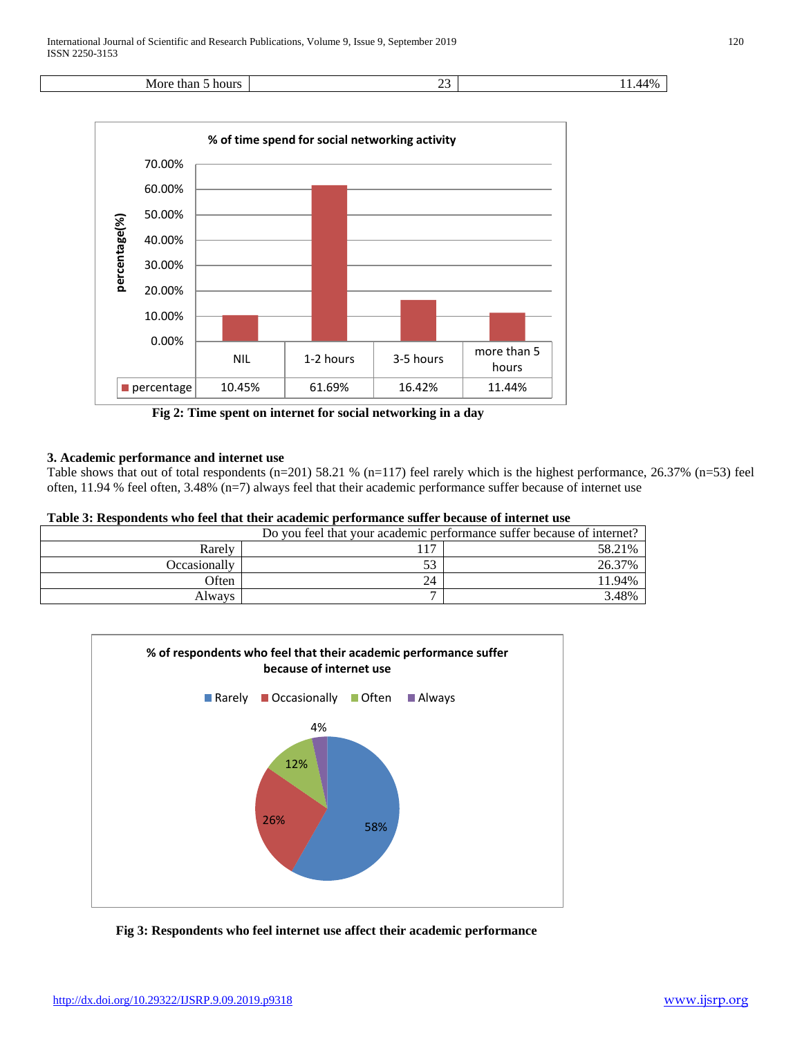



 **Fig 2: Time spent on internet for social networking in a day**

## **3. Academic performance and internet use**

Table shows that out of total respondents (n=201) 58.21 % (n=117) feel rarely which is the highest performance, 26.37% (n=53) feel often, 11.94 % feel often, 3.48% (n=7) always feel that their academic performance suffer because of internet use

#### **Table 3: Respondents who feel that their academic performance suffer because of internet use**

| Do you feel that your academic performance suffer because of internet? |            |        |
|------------------------------------------------------------------------|------------|--------|
| Rarely                                                                 | $1 \nabla$ | 58.21% |
| Occasionally                                                           | ээ         | 26.37% |
| Often                                                                  | 24         | 1.94%  |
| Always                                                                 | -          | 3.48%  |



 **Fig 3: Respondents who feel internet use affect their academic performance**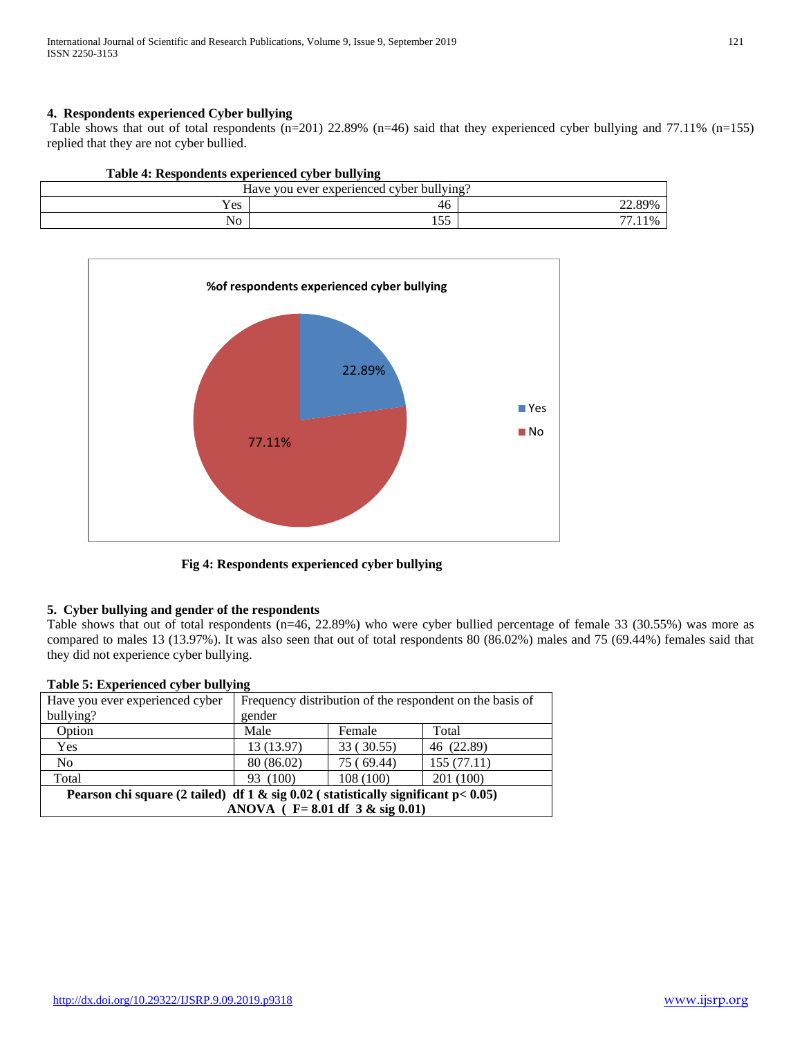## **4. Respondents experienced Cyber bullying**

Table shows that out of total respondents (n=201) 22.89% (n=46) said that they experienced cyber bullying and 77.11% (n=155) replied that they are not cyber bullied.

## **Table 4: Respondents experienced cyber bullying**

| T<br>11.11<br>experienced cy '<br>ever<br>cyber<br>bullying?<br>Have<br>∵VOU ∟ |               |                     |
|--------------------------------------------------------------------------------|---------------|---------------------|
| Yes                                                                            | 46.           | 89%<br>$22.0^\circ$ |
| $\cdot$ $\cdot$<br>No                                                          | $ -$<br>1 J J | $- -$<br>$1\%$      |



 **Fig 4: Respondents experienced cyber bullying**

#### **5. Cyber bullying and gender of the respondents**

Table shows that out of total respondents (n=46, 22.89%) who were cyber bullied percentage of female 33 (30.55%) was more as compared to males 13 (13.97%). It was also seen that out of total respondents 80 (86.02%) males and 75 (69.44%) females said that they did not experience cyber bullying.

| $1$ abit $\sigma$ . Experienced cyber bunying                                       |                                                          |            |            |
|-------------------------------------------------------------------------------------|----------------------------------------------------------|------------|------------|
| Have you ever experienced cyber                                                     | Frequency distribution of the respondent on the basis of |            |            |
| bullying?                                                                           | gender                                                   |            |            |
| Option                                                                              | Male                                                     | Female     | Total      |
| Yes                                                                                 | 13 (13.97)                                               | 33 (30.55) | 46 (22.89) |
| No                                                                                  | 80 (86.02)                                               | 75 (69.44) | 155(77.11) |
| Total                                                                               | 93 (100)                                                 | 108 (100)  | 201(100)   |
| Pearson chi square (2 tailed) df 1 & sig $0.02$ (statistically significant p< 0.05) |                                                          |            |            |
| ANOVA ( $F = 8.01$ df 3 & sig 0.01)                                                 |                                                          |            |            |
|                                                                                     |                                                          |            |            |

#### **Table 5: Experienced cyber bullying**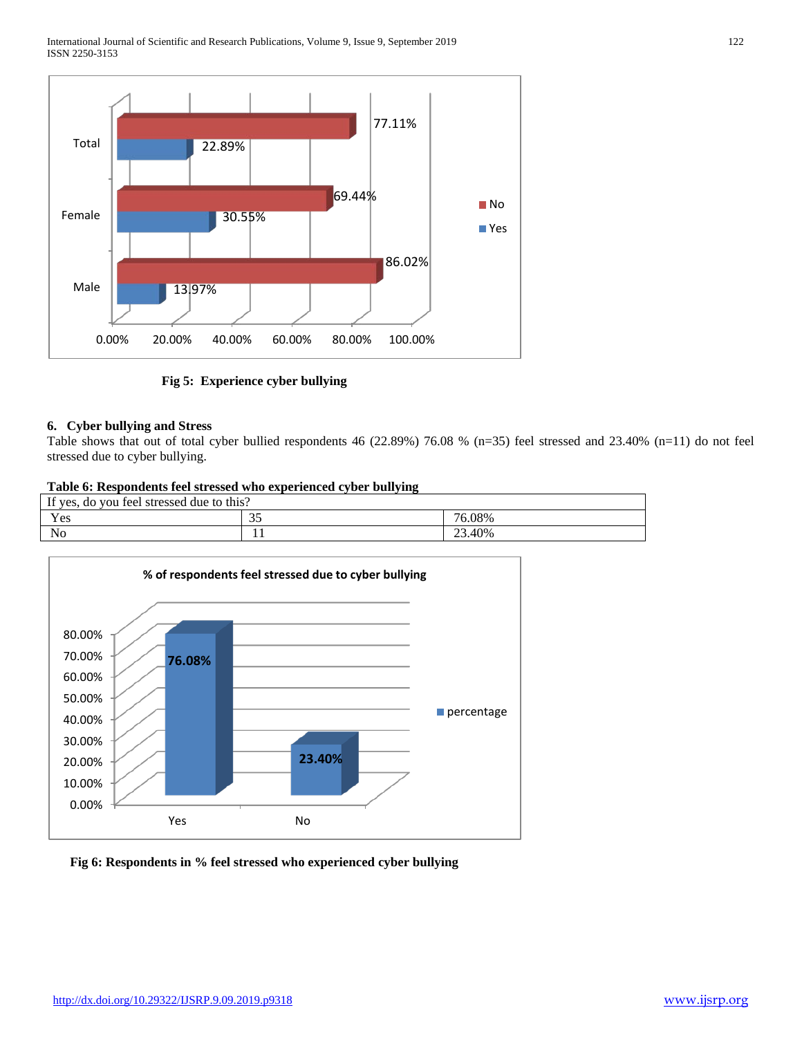

 **Fig 5: Experience cyber bullying**

## **6. Cyber bullying and Stress**

Table shows that out of total cyber bullied respondents 46 (22.89%) 76.08 % (n=35) feel stressed and 23.40% (n=11) do not feel stressed due to cyber bullying.

## **Table 6: Respondents feel stressed who experienced cyber bullying**

| If yes, do you feel stressed due to this? |                                 |        |  |
|-------------------------------------------|---------------------------------|--------|--|
| Yes                                       | $\overline{\phantom{a}}$<br>ر ر | 76.08% |  |
| $\cdot$ $\cdot$<br>No                     | . .                             | 23.40% |  |



 **Fig 6: Respondents in % feel stressed who experienced cyber bullying**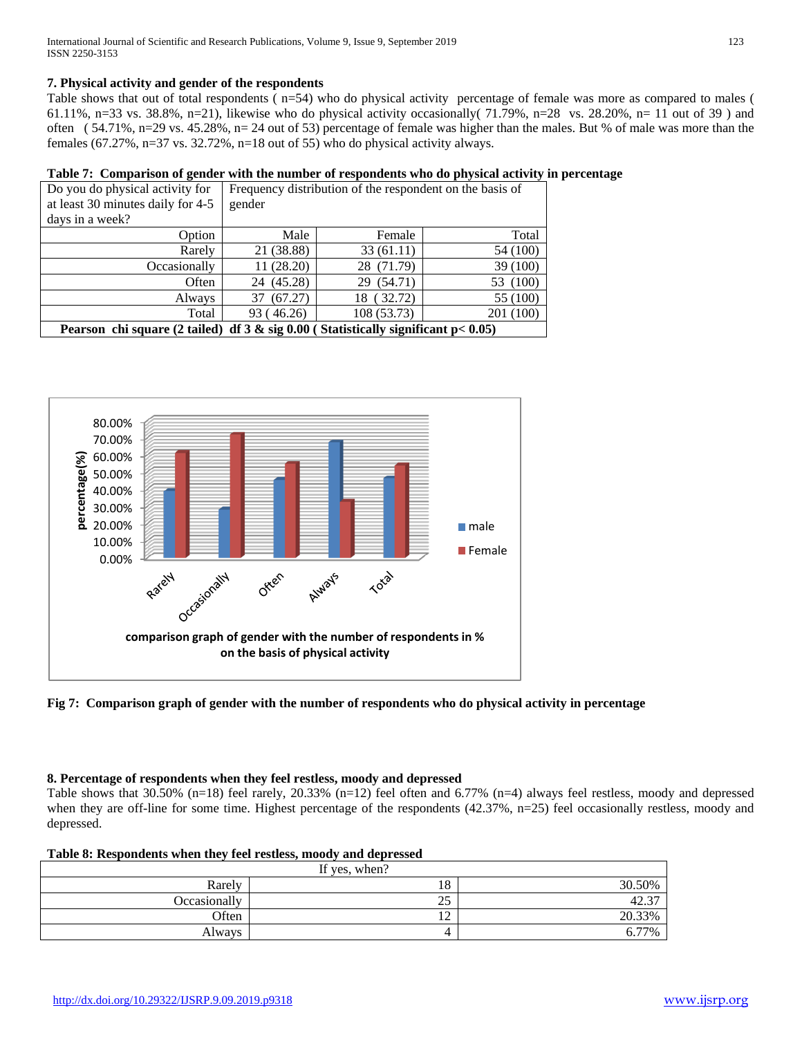## **7. Physical activity and gender of the respondents**

Table shows that out of total respondents ( n=54) who do physical activity percentage of female was more as compared to males ( 61.11%, n=33 vs. 38.8%, n=21), likewise who do physical activity occasionally  $(71.79\%$ , n=28 vs. 28.20%, n= 11 out of 39) and often ( 54.71%, n=29 vs. 45.28%, n= 24 out of 53) percentage of female was higher than the males. But % of male was more than the females  $(67.27\%, n=37 \text{ vs. } 32.72\%, n=18 \text{ out of } 55)$  who do physical activity always.

## **Table 7: Comparison of gender with the number of respondents who do physical activity in percentage**

| Do you do physical activity for                                                     | Frequency distribution of the respondent on the basis of |             |           |
|-------------------------------------------------------------------------------------|----------------------------------------------------------|-------------|-----------|
| at least 30 minutes daily for 4-5                                                   | gender                                                   |             |           |
| days in a week?                                                                     |                                                          |             |           |
| Option                                                                              | Male                                                     | Female      | Total     |
| Rarely                                                                              | 21 (38.88)                                               | 33(61.11)   | 54 (100)  |
| Occasionally                                                                        | 11 (28.20)                                               | 28 (71.79)  | 39 (100)  |
| Often                                                                               | 24 (45.28)                                               | 29 (54.71)  | 53 (100)  |
| Always                                                                              | 37 (67.27)                                               | 18 (32.72)  | 55 (100)  |
| Total                                                                               | 93 (46.26)                                               | 108 (53.73) | 201 (100) |
| Pearson chi square (2 tailed) df $3 &$ sig 0.00 (Statistically significant p< 0.05) |                                                          |             |           |



**Fig 7: Comparison graph of gender with the number of respondents who do physical activity in percentage**

### **8. Percentage of respondents when they feel restless, moody and depressed**

Table shows that 30.50% (n=18) feel rarely, 20.33% (n=12) feel often and 6.77% (n=4) always feel restless, moody and depressed when they are off-line for some time. Highest percentage of the respondents (42.37%, n=25) feel occasionally restless, moody and depressed.

| If yes, when? |             |        |  |
|---------------|-------------|--------|--|
| Rarely        | 18          | 30.50% |  |
| Occasionally  | 25          | 42.37  |  |
| Often         | $\sim$<br>∸ | 20.33% |  |
| Always        |             | 77%    |  |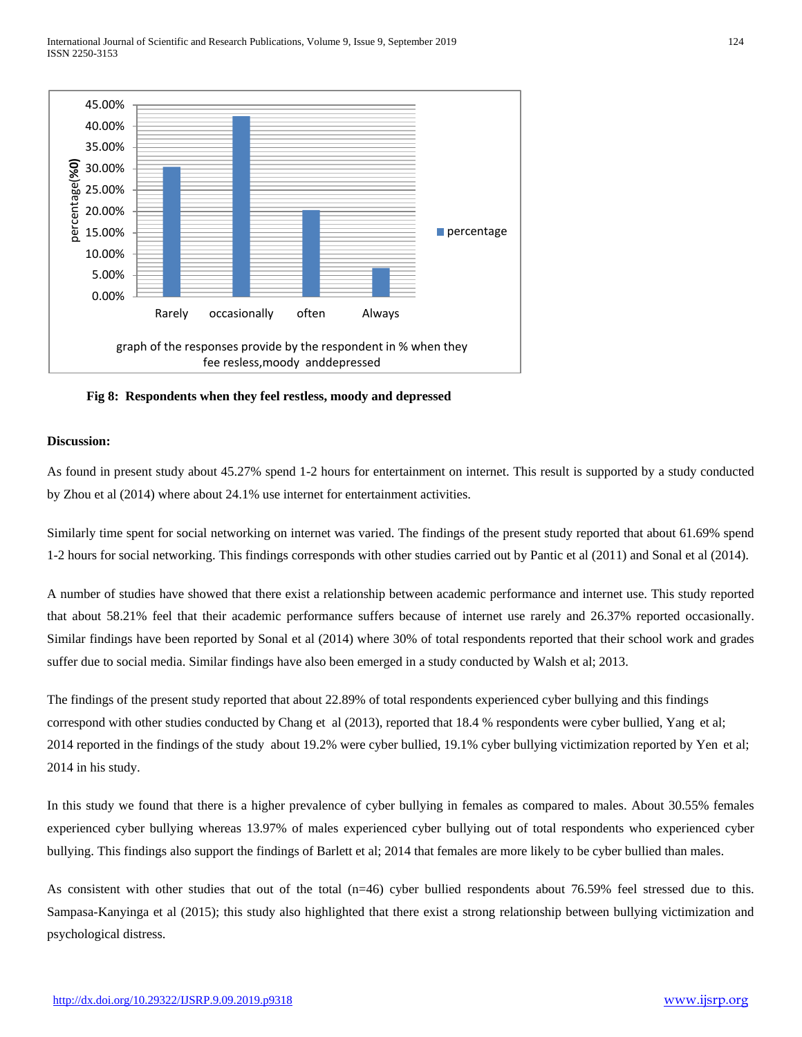

 **Fig 8: Respondents when they feel restless, moody and depressed**

#### **Discussion:**

As found in present study about 45.27% spend 1-2 hours for entertainment on internet. This result is supported by a study conducted b[y Zhou e](http://www.ncbi.nlm.nih.gov/pubmed/?term=Zhou%20R%5BAuthor%5D&cauthor=true&cauthor_uid=24586902)t al (2014) where about 24.1% use internet for entertainment activities.

Similarly time spent for social networking on internet was varied. The findings of the present study reported that about 61.69% spend 1-2 hours for social networking. This findings corresponds with other studies carried out by Pantic et al (2011) and Sonal et al (2014).

A number of studies have showed that there exist a relationship between academic performance and internet use. This study reported that about 58.21% feel that their academic performance suffers because of internet use rarely and 26.37% reported occasionally. Similar findings have been reported by Sonal et al (2014) where 30% of total respondents reported that their school work and grades suffer due to social media. Similar findings have also been emerged in a study conducted by Walsh et al; 2013.

The findings of the present study reported that about 22.89% of total respondents experienced cyber bullying and this findings correspond with other studies conducted by Chang et al (2013), reported that 18.4 % respondents were cyber bullied, [Yang e](http://www.ncbi.nlm.nih.gov/pubmed/?term=Yang%20SJ%5BAuthor%5D&cauthor=true&cauthor_uid=24605120)t al; 2014 reported in the findings of the study about 19.2% were cyber bullied, 19.1% cyber bullying victimization reported b[y Yen e](http://www.ncbi.nlm.nih.gov/pubmed/?term=Yen%20CF%5BAuthor%5D&cauthor=true&cauthor_uid=25241113)t al; 2014 in his study.

In this study we found that there is a higher prevalence of cyber bullying in females as compared to males. About 30.55% females experienced cyber bullying whereas 13.97% of males experienced cyber bullying out of total respondents who experienced cyber bullying. This findings also support the findings of [Barlett e](http://www.ncbi.nlm.nih.gov/pubmed/?term=Barlett%20C%5BAuthor%5D&cauthor=true&cauthor_uid=25098968)t al; 2014 that females are more likely to be cyber bullied than males.

As consistent with other studies that out of the total (n=46) cyber bullied respondents about 76.59% feel stressed due to this. Sampasa-Kanyinga et al (2015); this study also highlighted that there exist a strong relationship between bullying victimization and psychological distress.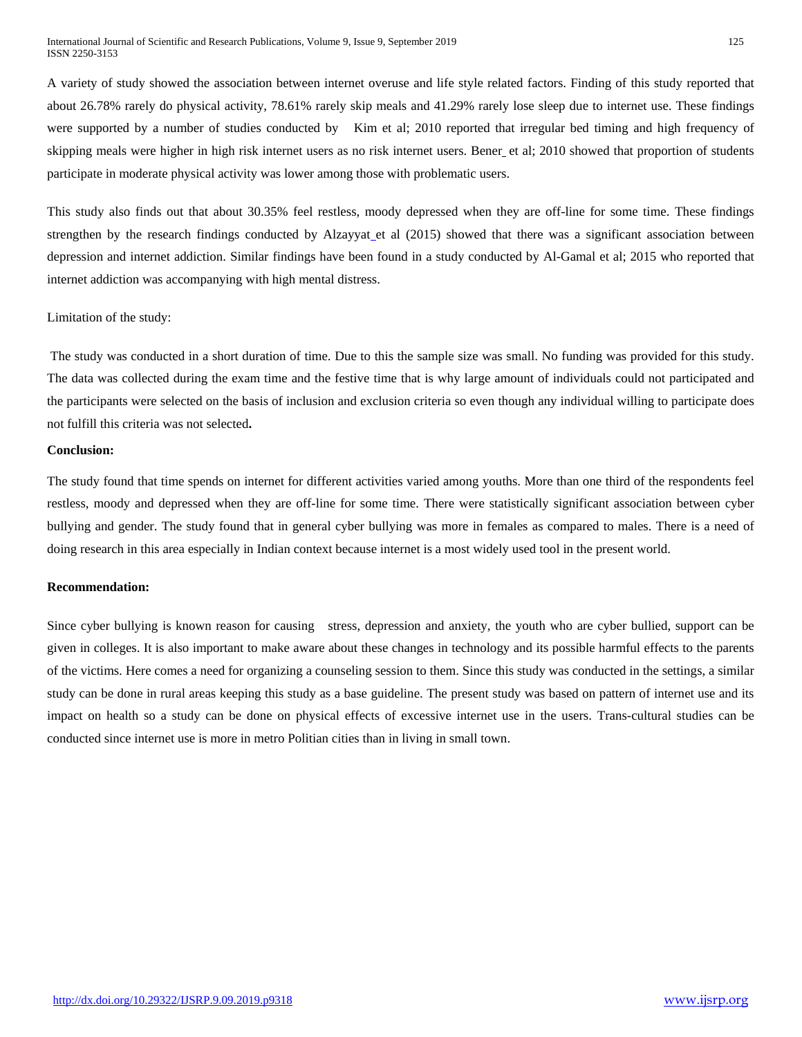A variety of study showed the association between internet overuse and life style related factors. Finding of this study reported that about 26.78% rarely do physical activity, 78.61% rarely skip meals and 41.29% rarely lose sleep due to internet use. These findings were supported by a number of studies conducted by Kim et al; 2010 reported that irregular bed timing and high frequency of skipping meals were higher in high risk internet users as no risk internet users. [Bener](http://www.ncbi.nlm.nih.gov/pubmed/?term=Bener%20A%5BAuthor%5D&cauthor=true&cauthor_uid=23666321) et al; 2010 showed that proportion of students participate in moderate physical activity was lower among those with problematic users.

This study also finds out that about 30.35% feel restless, moody depressed when they are off-line for some time. These findings strengthen by the research findings conducted by [Alzayyat](http://www.ncbi.nlm.nih.gov/pubmed/?term=Alzayyat%20A%5BAuthor%5D&cauthor=true&cauthor_uid=25800688)\_et al (2015) showed that there was a significant association between depression and internet addiction. Similar findings have been found in a study conducted by [Al-Gamal e](http://www.ncbi.nlm.nih.gov/pubmed/?term=Al-Gamal%20E%5BAuthor%5D&cauthor=true&cauthor_uid=25639746)t al; 2015 who reported that internet addiction was accompanying with high mental distress.

#### Limitation of the study:

The study was conducted in a short duration of time. Due to this the sample size was small. No funding was provided for this study. The data was collected during the exam time and the festive time that is why large amount of individuals could not participated and the participants were selected on the basis of inclusion and exclusion criteria so even though any individual willing to participate does not fulfill this criteria was not selected**.**

## **Conclusion:**

The study found that time spends on internet for different activities varied among youths. More than one third of the respondents feel restless, moody and depressed when they are off-line for some time. There were statistically significant association between cyber bullying and gender. The study found that in general cyber bullying was more in females as compared to males. There is a need of doing research in this area especially in Indian context because internet is a most widely used tool in the present world.

#### **Recommendation:**

Since cyber bullying is known reason for causing stress, depression and anxiety, the youth who are cyber bullied, support can be given in colleges. It is also important to make aware about these changes in technology and its possible harmful effects to the parents of the victims. Here comes a need for organizing a counseling session to them. Since this study was conducted in the settings, a similar study can be done in rural areas keeping this study as a base guideline. The present study was based on pattern of internet use and its impact on health so a study can be done on physical effects of excessive internet use in the users. Trans-cultural studies can be conducted since internet use is more in metro Politian cities than in living in small town.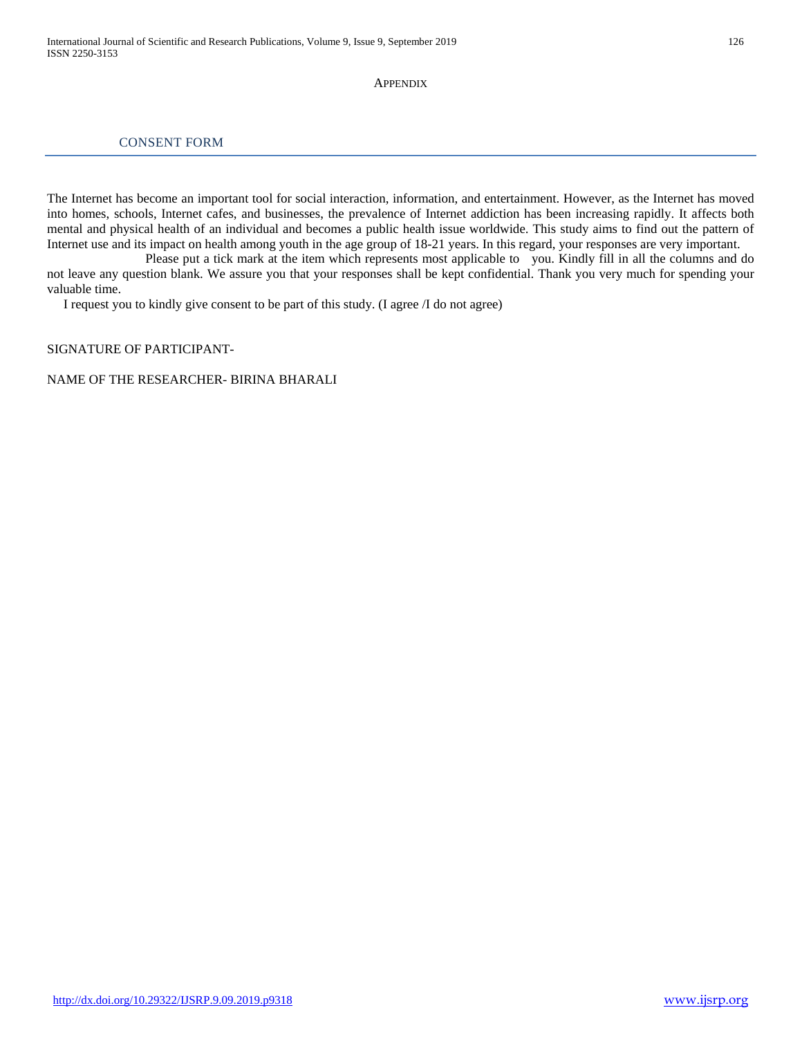#### **APPENDIX**

## CONSENT FORM

The Internet has become an important tool for social interaction, information, and entertainment. However, as the Internet has moved into homes, schools, Internet cafes, and businesses, the prevalence of Internet addiction has been increasing rapidly. It affects both mental and physical health of an individual and becomes a public health issue worldwide. This study aims to find out the pattern of Internet use and its impact on health among youth in the age group of 18-21 years. In this regard, your responses are very important.

 Please put a tick mark at the item which represents most applicable to you. Kindly fill in all the columns and do not leave any question blank. We assure you that your responses shall be kept confidential. Thank you very much for spending your valuable time.

I request you to kindly give consent to be part of this study. (I agree /I do not agree)

#### SIGNATURE OF PARTICIPANT-

#### NAME OF THE RESEARCHER- BIRINA BHARALI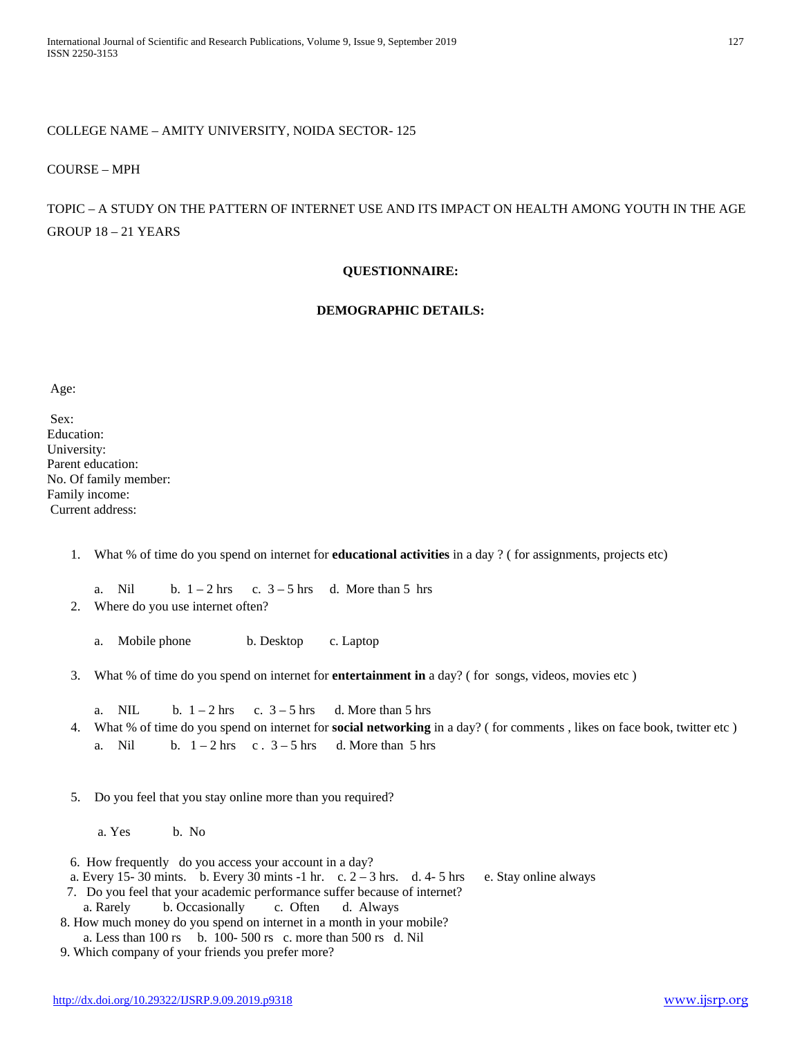## COLLEGE NAME – AMITY UNIVERSITY, NOIDA SECTOR- 125

#### COURSE – MPH

## TOPIC – A STUDY ON THE PATTERN OF INTERNET USE AND ITS IMPACT ON HEALTH AMONG YOUTH IN THE AGE GROUP 18 – 21 YEARS

## **QUESTIONNAIRE:**

## **DEMOGRAPHIC DETAILS:**

#### Age:

Sex: Education: University: Parent education: No. Of family member: Family income: Current address:

1. What % of time do you spend on internet for **educational activities** in a day ? ( for assignments, projects etc)

a. Nil b.  $1 - 2$  hrs c.  $3 - 5$  hrs d. More than 5 hrs

2. Where do you use internet often?

a. Mobile phone b. Desktop c. Laptop

- 3. What % of time do you spend on internet for **entertainment in** a day? ( for songs, videos, movies etc )
	- a. NIL b.  $1 2$  hrs c.  $3 5$  hrs d. More than 5 hrs
- 4. What % of time do you spend on internet for **social networking** in a day? ( for comments , likes on face book, twitter etc ) a. Nil b.  $1 - 2$  hrs c .  $3 - 5$  hrs d. More than 5 hrs

5. Do you feel that you stay online more than you required?

a. Yes b. No

- 6. How frequently do you access your account in a day?
- a. Every 15-30 mints. b. Every 30 mints  $-1$  hr. c.  $2-3$  hrs. d. 4-5 hrs e. Stay online always
- 7. Do you feel that your academic performance suffer because of internet?
	- a. Rarely b. Occasionally c. Often d. Always

 8. How much money do you spend on internet in a month in your mobile? a. Less than 100 rs b. 100- 500 rs c. more than 500 rs d. Nil

9. Which company of your friends you prefer more?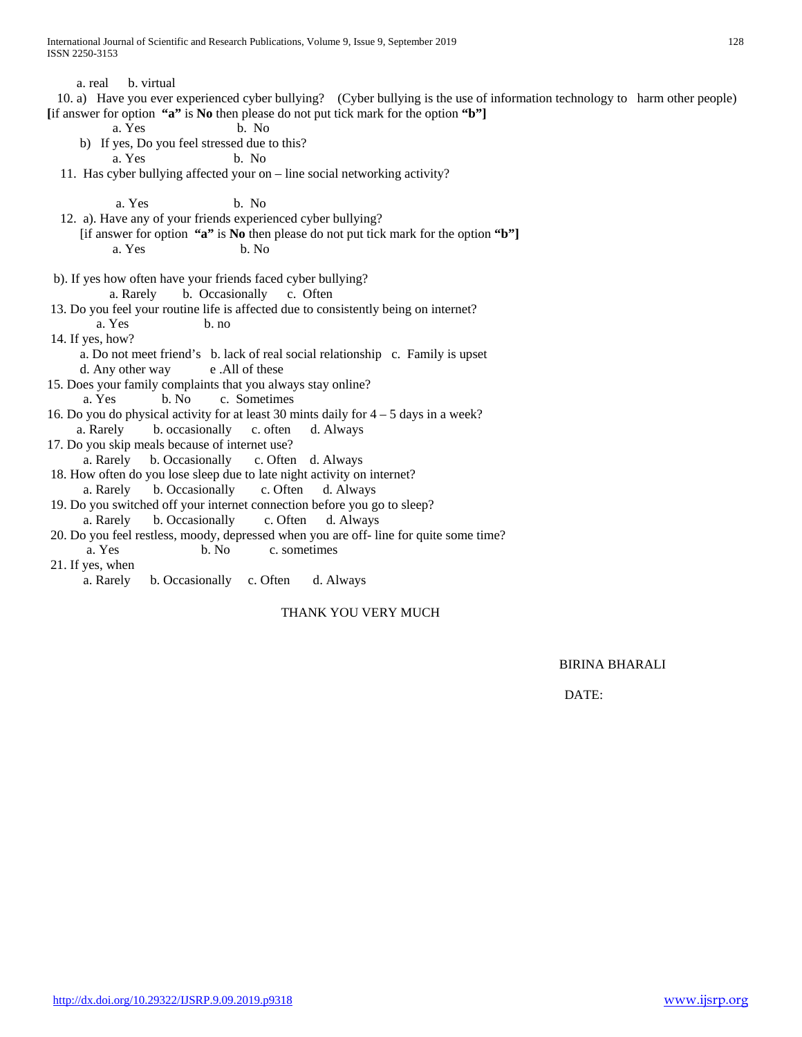a. real b. virtual

 10. a) Have you ever experienced cyber bullying? (Cyber bullying is the use of information technology to harm other people) **[**if answer for option **"a"** is **No** then please do not put tick mark for the option **"b"]**

a. Yes b. No

b) If yes, Do you feel stressed due to this?

a. Yes b. No

11. Has cyber bullying affected your on – line social networking activity?

a. Yes b. No

- 12. a). Have any of your friends experienced cyber bullying?
	- [if answer for option **"a"** is **No** then please do not put tick mark for the option **"b"]** a. Yes b. No
- b). If yes how often have your friends faced cyber bullying? a. Rarely b. Occasionally c. Often
- 13. Do you feel your routine life is affected due to consistently being on internet?
- a. Yes b. no
- 14. If yes, how?
	- a. Do not meet friend's b. lack of real social relationship c. Family is upset d. Any other way e .All of these
- 15. Does your family complaints that you always stay online?
- a. Yes b. No c. Sometimes
- 16. Do you do physical activity for at least 30 mints daily for 4 5 days in a week?
- a. Rarely b. occasionally c. often d. Always
- 17. Do you skip meals because of internet use?
- a. Rarely b. Occasionally c. Often d. Always
- 18. How often do you lose sleep due to late night activity on internet? a. Rarely b. Occasionally c. Often d. Always
- 19. Do you switched off your internet connection before you go to sleep?
- a. Rarely b. Occasionally c. Often d. Always

20. Do you feel restless, moody, depressed when you are off- line for quite some time? a. Yes b. No c. sometimes

21. If yes, when

a. Rarely b. Occasionally c. Often d. Always

## THANK YOU VERY MUCH

BIRINA BHARALI

DATE: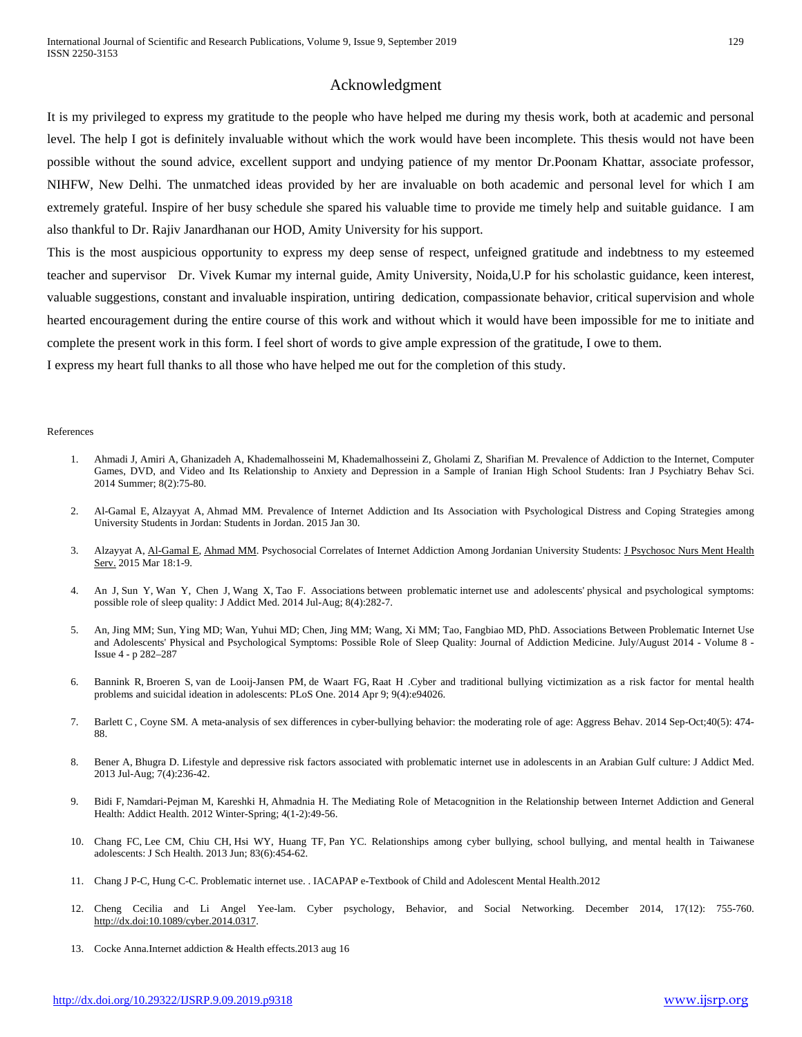### Acknowledgment

It is my privileged to express my gratitude to the people who have helped me during my thesis work, both at academic and personal level. The help I got is definitely invaluable without which the work would have been incomplete. This thesis would not have been possible without the sound advice, excellent support and undying patience of my mentor Dr.Poonam Khattar, associate professor, NIHFW, New Delhi. The unmatched ideas provided by her are invaluable on both academic and personal level for which I am extremely grateful. Inspire of her busy schedule she spared his valuable time to provide me timely help and suitable guidance. I am also thankful to Dr. Rajiv Janardhanan our HOD, Amity University for his support.

This is the most auspicious opportunity to express my deep sense of respect, unfeigned gratitude and indebtness to my esteemed teacher and supervisor Dr. Vivek Kumar my internal guide, Amity University, Noida,U.P for his scholastic guidance, keen interest, valuable suggestions, constant and invaluable inspiration, untiring dedication, compassionate behavior, critical supervision and whole hearted encouragement during the entire course of this work and without which it would have been impossible for me to initiate and complete the present work in this form. I feel short of words to give ample expression of the gratitude, I owe to them.

I express my heart full thanks to all those who have helped me out for the completion of this study.

#### References

- 1. [Ahmadi J,](http://www.ncbi.nlm.nih.gov/pubmed/?term=Ahmadi%20J%5BAuthor%5D&cauthor=true&cauthor_uid=25053960) [Amiri A,](http://www.ncbi.nlm.nih.gov/pubmed/?term=Amiri%20A%5BAuthor%5D&cauthor=true&cauthor_uid=25053960) [Ghanizadeh A,](http://www.ncbi.nlm.nih.gov/pubmed/?term=Ghanizadeh%20A%5BAuthor%5D&cauthor=true&cauthor_uid=25053960) [Khademalhosseini M,](http://www.ncbi.nlm.nih.gov/pubmed/?term=Khademalhosseini%20M%5BAuthor%5D&cauthor=true&cauthor_uid=25053960) [Khademalhosseini Z,](http://www.ncbi.nlm.nih.gov/pubmed/?term=Khademalhosseini%20Z%5BAuthor%5D&cauthor=true&cauthor_uid=25053960) [Gholami Z,](http://www.ncbi.nlm.nih.gov/pubmed/?term=Gholami%20Z%5BAuthor%5D&cauthor=true&cauthor_uid=25053960) [Sharifian M.](http://www.ncbi.nlm.nih.gov/pubmed/?term=Sharifian%20M%5BAuthor%5D&cauthor=true&cauthor_uid=25053960) Prevalence of Addiction to the Internet, Computer Games, DVD, and Video and Its Relationship to Anxiety and Depression in a Sample of Iranian High School Students: [Iran J Psychiatry Behav Sci.](http://www.ncbi.nlm.nih.gov/pubmed/25053960) 2014 Summer; 8(2):75-80.
- 2. [Al-Gamal E,](http://www.ncbi.nlm.nih.gov/pubmed/?term=Al-Gamal%20E%5BAuthor%5D&cauthor=true&cauthor_uid=25639746) [Alzayyat A,](http://www.ncbi.nlm.nih.gov/pubmed/?term=Alzayyat%20A%5BAuthor%5D&cauthor=true&cauthor_uid=25639746) [Ahmad MM.](http://www.ncbi.nlm.nih.gov/pubmed/?term=Ahmad%20MM%5BAuthor%5D&cauthor=true&cauthor_uid=25639746) Prevalence of Internet Addiction and Its Association with Psychological Distress and Coping Strategies among University Students in Jordan: Students in Jordan. 2015 Jan 30.
- 3. [Alzayyat A,](http://www.ncbi.nlm.nih.gov/pubmed/?term=Alzayyat%20A%5BAuthor%5D&cauthor=true&cauthor_uid=25800688) [Al-Gamal E,](http://www.ncbi.nlm.nih.gov/pubmed/?term=Al-Gamal%20E%5BAuthor%5D&cauthor=true&cauthor_uid=25800688) [Ahmad MM.](http://www.ncbi.nlm.nih.gov/pubmed/?term=Ahmad%20MM%5BAuthor%5D&cauthor=true&cauthor_uid=25800688) Psychosocial Correlates of Internet Addiction Among Jordanian University Students: J Psychosoc Nurs Ment Health [Serv.](http://www.ncbi.nlm.nih.gov/pubmed/25800688) 2015 Mar 18:1-9.
- 4. [An J,](http://www.ncbi.nlm.nih.gov/pubmed/?term=An%20J%5BAuthor%5D&cauthor=true&cauthor_uid=25026104) [Sun Y,](http://www.ncbi.nlm.nih.gov/pubmed/?term=Sun%20Y%5BAuthor%5D&cauthor=true&cauthor_uid=25026104) [Wan Y,](http://www.ncbi.nlm.nih.gov/pubmed/?term=Wan%20Y%5BAuthor%5D&cauthor=true&cauthor_uid=25026104) [Chen J,](http://www.ncbi.nlm.nih.gov/pubmed/?term=Chen%20J%5BAuthor%5D&cauthor=true&cauthor_uid=25026104) [Wang X,](http://www.ncbi.nlm.nih.gov/pubmed/?term=Wang%20X%5BAuthor%5D&cauthor=true&cauthor_uid=25026104) [Tao F.](http://www.ncbi.nlm.nih.gov/pubmed/?term=Tao%20F%5BAuthor%5D&cauthor=true&cauthor_uid=25026104) Associations between problematic internet use and adolescents' physical and psychological symptoms: possible role of sleep quality: [J Addict Med.](http://www.ncbi.nlm.nih.gov/pubmed/?term=Associations+between+problematic+internet+use+and+adolescents%27+physical+and+psychological+symptoms%3A+possible+role+of+sleep+quality) 2014 Jul-Aug; 8(4):282-7.
- 5. An, Jing MM; Sun, Ying MD; Wan, Yuhui MD; Chen, Jing MM; Wang, Xi MM; Tao, Fangbiao MD, PhD. Associations Between Problematic Internet Use and Adolescents' Physical and Psychological Symptoms: Possible Role of Sleep Quality: Journal of Addiction Medicine. July/August 2014 - Volume 8 - Issue 4 - p 282–287
- 6. [Bannink R,](http://www.ncbi.nlm.nih.gov/pubmed/?term=Bannink%20R%5BAuthor%5D&cauthor=true&cauthor_uid=24718563) [Broeren S,](http://www.ncbi.nlm.nih.gov/pubmed/?term=Broeren%20S%5BAuthor%5D&cauthor=true&cauthor_uid=24718563) [van de Looij-Jansen PM,](http://www.ncbi.nlm.nih.gov/pubmed/?term=van%20de%20Looij-Jansen%20PM%5BAuthor%5D&cauthor=true&cauthor_uid=24718563) [de Waart FG,](http://www.ncbi.nlm.nih.gov/pubmed/?term=de%20Waart%20FG%5BAuthor%5D&cauthor=true&cauthor_uid=24718563) [Raat H](http://www.ncbi.nlm.nih.gov/pubmed/?term=Raat%20H%5BAuthor%5D&cauthor=true&cauthor_uid=24718563) .Cyber and traditional bullying victimization as a risk factor for mental health problems and suicidal ideation in adolescents: [PLoS One.](http://www.ncbi.nlm.nih.gov/pubmed/24718563) 2014 Apr 9; 9(4):e94026.
- 7. [Barlett C](http://www.ncbi.nlm.nih.gov/pubmed/?term=Barlett%20C%5BAuthor%5D&cauthor=true&cauthor_uid=25098968) , [Coyne SM.](http://www.ncbi.nlm.nih.gov/pubmed/?term=Coyne%20SM%5BAuthor%5D&cauthor=true&cauthor_uid=25098968) A meta-analysis of sex differences in cyber-bullying behavior: the moderating role of age: [Aggress Behav.](http://www.ncbi.nlm.nih.gov/pubmed/25098968) 2014 Sep-Oct;40(5): 474- 88.
- 8. [Bener A,](http://www.ncbi.nlm.nih.gov/pubmed/?term=Bener%20A%5BAuthor%5D&cauthor=true&cauthor_uid=23666321) [Bhugra D.](http://www.ncbi.nlm.nih.gov/pubmed/?term=Bhugra%20D%5BAuthor%5D&cauthor=true&cauthor_uid=23666321) Lifestyle and depressive risk factors associated with problematic internet use in adolescents in an Arabian Gulf culture: [J Addict Med.](http://www.ncbi.nlm.nih.gov/pubmed/?term=the+prevalence+of+problematic+Internet+use+(PIU)+and+its+association+with+beck+depression+inventory%2C+co-+morbid%2C+lifestyle+related+factors+among+adolescents) 2013 Jul-Aug; 7(4):236-42.
- 9. [Bidi F,](http://www.ncbi.nlm.nih.gov/pubmed/?term=Bidi%20F%5BAuthor%5D&cauthor=true&cauthor_uid=24494136) [Namdari-Pejman M,](http://www.ncbi.nlm.nih.gov/pubmed/?term=Namdari-Pejman%20M%5BAuthor%5D&cauthor=true&cauthor_uid=24494136) [Kareshki H,](http://www.ncbi.nlm.nih.gov/pubmed/?term=Kareshki%20H%5BAuthor%5D&cauthor=true&cauthor_uid=24494136) [Ahmadnia H.](http://www.ncbi.nlm.nih.gov/pubmed/?term=Ahmadnia%20H%5BAuthor%5D&cauthor=true&cauthor_uid=24494136) The Mediating Role of Metacognition in the Relationship between Internet Addiction and General Health: [Addict Health.](http://www.ncbi.nlm.nih.gov/pubmed/?term=FatemehBidi+et+al%3B+2012) 2012 Winter-Spring; 4(1-2):49-56.
- 10. [Chang FC,](http://www.ncbi.nlm.nih.gov/pubmed/?term=Chang%20FC%5BAuthor%5D&cauthor=true&cauthor_uid=23586891) [Lee CM,](http://www.ncbi.nlm.nih.gov/pubmed/?term=Lee%20CM%5BAuthor%5D&cauthor=true&cauthor_uid=23586891) [Chiu CH,](http://www.ncbi.nlm.nih.gov/pubmed/?term=Chiu%20CH%5BAuthor%5D&cauthor=true&cauthor_uid=23586891) [Hsi WY,](http://www.ncbi.nlm.nih.gov/pubmed/?term=Hsi%20WY%5BAuthor%5D&cauthor=true&cauthor_uid=23586891) [Huang TF,](http://www.ncbi.nlm.nih.gov/pubmed/?term=Huang%20TF%5BAuthor%5D&cauthor=true&cauthor_uid=23586891) [Pan YC.](http://www.ncbi.nlm.nih.gov/pubmed/?term=Pan%20YC%5BAuthor%5D&cauthor=true&cauthor_uid=23586891) Relationships among cyber bullying, school bullying, and mental health in Taiwanese adolescents: [J Sch Health.](http://www.ncbi.nlm.nih.gov/pubmed/23586891) 2013 Jun; 83(6):454-62.
- 11. Chang J P-C, Hung C-C. Problematic internet use. . IACAPAP e-Textbook of Child and Adolescent Mental Health.2012
- 12. Cheng Cecilia and Li Angel Yee-lam. Cyber psychology, Behavior, and Social Networking. December 2014, 17(12): 755-760. [http://dx.doi:10.1089/cyber.2014.0317.](http://dx.doi:10.1089/cyber.2014.0317)
- 13. Cocke Anna.Internet addiction & Health effects.2013 aug 16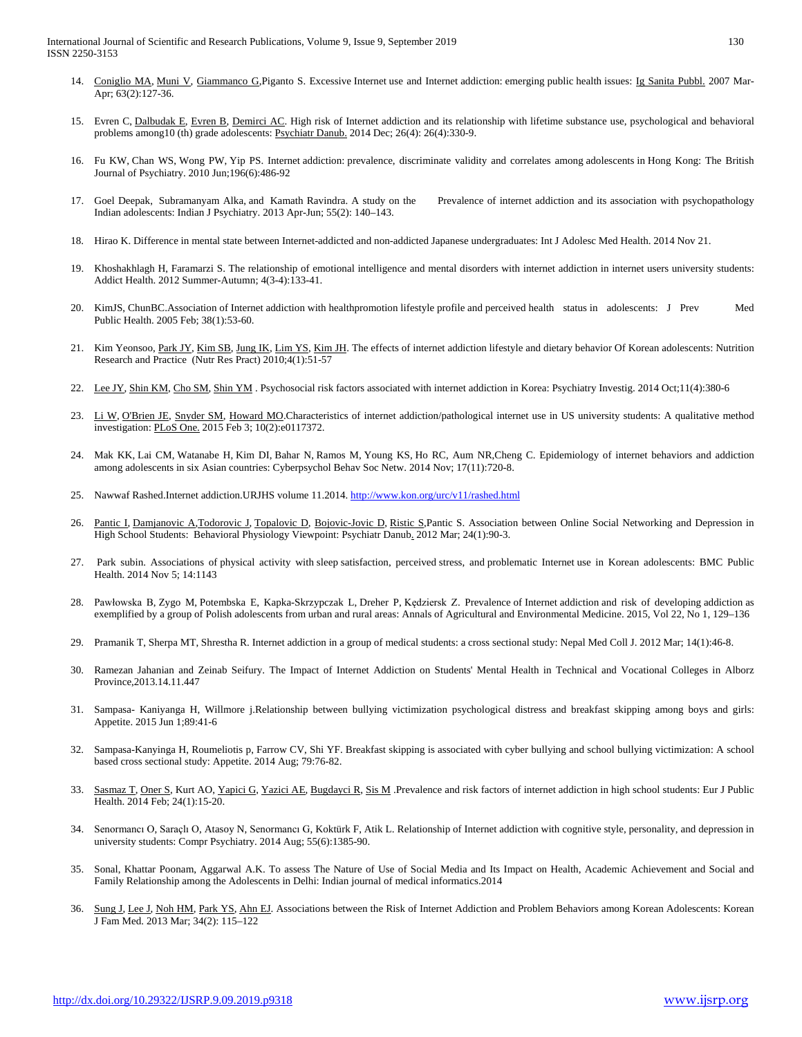- 14. [Coniglio MA,](http://www.ncbi.nlm.nih.gov/pubmed/?term=Coniglio%20MA%5BAuthor%5D&cauthor=true&cauthor_uid=18216888) [Muni V,](http://www.ncbi.nlm.nih.gov/pubmed/?term=Muni%20V%5BAuthor%5D&cauthor=true&cauthor_uid=18216888) [Giammanco G,P](http://www.ncbi.nlm.nih.gov/pubmed/?term=Giammanco%20G%5BAuthor%5D&cauthor=true&cauthor_uid=18216888)iganto S. Excessive Internet use and Internet addiction: emerging public health issues: [Ig Sanita Pubbl.](http://www.ncbi.nlm.nih.gov/pubmed/?term=Excessive+Internet+use+and+Internet+addiction%3A+emerging+public+health+issues) 2007 Mar-Apr; 63(2):127-36.
- 15. [Evren C,](http://www.ncbi.nlm.nih.gov/pubmed/?term=Evren%20C%5BAuthor%5D&cauthor=true&cauthor_uid=25377367) [Dalbudak E,](http://www.ncbi.nlm.nih.gov/pubmed/?term=Dalbudak%20E%5BAuthor%5D&cauthor=true&cauthor_uid=25377367) [Evren B,](http://www.ncbi.nlm.nih.gov/pubmed/?term=Evren%20B%5BAuthor%5D&cauthor=true&cauthor_uid=25377367) [Demirci AC.](http://www.ncbi.nlm.nih.gov/pubmed/?term=Demirci%20AC%5BAuthor%5D&cauthor=true&cauthor_uid=25377367) High risk of Internet addiction and its relationship with lifetime substance use, psychological and behavioral problems among10 (th) grade adolescents: [Psychiatr Danub.](http://www.ncbi.nlm.nih.gov/pubmed/25377367) 2014 Dec; 26(4): 26(4):330-9.
- 16. [Fu KW,](http://www.ncbi.nlm.nih.gov/pubmed/?term=Fu%20KW%5BAuthor%5D&cauthor=true&cauthor_uid=20513862) [Chan WS,](http://www.ncbi.nlm.nih.gov/pubmed/?term=Chan%20WS%5BAuthor%5D&cauthor=true&cauthor_uid=20513862) [Wong PW,](http://www.ncbi.nlm.nih.gov/pubmed/?term=Wong%20PW%5BAuthor%5D&cauthor=true&cauthor_uid=20513862) [Yip PS.](http://www.ncbi.nlm.nih.gov/pubmed/?term=Yip%20PS%5BAuthor%5D&cauthor=true&cauthor_uid=20513862) Internet addiction: prevalence, discriminate validity and correlates among adolescents in Hong Kong: The British Journal of Psychiatry. 2010 Jun;196(6):486-92
- 17. [Goel](http://www.ncbi.nlm.nih.gov/pubmed/?term=Goel%20D%5Bauth%5D) Deepak, [Subramanyam](http://www.ncbi.nlm.nih.gov/pubmed/?term=Subramanyam%20A%5Bauth%5D) Alka, and [Kamath](http://www.ncbi.nlm.nih.gov/pubmed/?term=Kamath%20R%5Bauth%5D) Ravindra. A study on the Prevalence of internet addiction and its association with psychopathology Indian adolescents: Indian J Psychiatry. 2013 Apr-Jun; 55(2): 140–143.
- 18. [Hirao K.](http://www.ncbi.nlm.nih.gov/pubmed/?term=Hirao%20K%5BAuthor%5D&cauthor=true&cauthor_uid=25415631) Difference in mental state between Internet-addicted and non-addicted Japanese undergraduates: [Int J Adolesc Med Health.](http://www.ncbi.nlm.nih.gov/pubmed/?term=compare+the+mental+status+between+internet+addicted+and+non-+addicted) 2014 Nov 21.
- 19. [Khoshakhlagh H,](http://www.ncbi.nlm.nih.gov/pubmed/?term=Khoshakhlagh%20H%5BAuthor%5D&cauthor=true&cauthor_uid=24494148) Faramarzi S. The relationship of emotional intelligence and mental disorders with internet addiction in internet users university students: [Addict Health.](http://www.ncbi.nlm.nih.gov/pubmed/?term=Hasan+Khoshakhlagh+et+al%3B2012) 2012 Summer-Autumn; 4(3-4):133-41.
- 20. [KimJS,](http://www.ncbi.nlm.nih.gov/pubmed/?term=Kim%20JS%5BAuthor%5D&cauthor=true&cauthor_uid=16312910) [ChunBC.A](http://www.ncbi.nlm.nih.gov/pubmed/?term=Chun%20BC%5BAuthor%5D&cauthor=true&cauthor_uid=16312910)ssociation of Internet addiction with healthpromotion lifestyle profile and perceived health status in adolescents: J Prev Med Public Health. 2005 Feb; 38(1):53-60.
- 21. Kim Yeonsoo, [Park JY,](http://www.ncbi.nlm.nih.gov/pubmed/?term=Park%20JY%5BAuthor%5D&cauthor=true&cauthor_uid=20198209) [Kim SB,](http://www.ncbi.nlm.nih.gov/pubmed/?term=Kim%20SB%5BAuthor%5D&cauthor=true&cauthor_uid=20198209) [Jung IK,](http://www.ncbi.nlm.nih.gov/pubmed/?term=Jung%20IK%5BAuthor%5D&cauthor=true&cauthor_uid=20198209) [Lim YS,](http://www.ncbi.nlm.nih.gov/pubmed/?term=Lim%20YS%5BAuthor%5D&cauthor=true&cauthor_uid=20198209) [Kim JH.](http://www.ncbi.nlm.nih.gov/pubmed/?term=Kim%20JH%5BAuthor%5D&cauthor=true&cauthor_uid=20198209) The effects of internet addiction lifestyle and dietary behavior Of Korean adolescents: Nutrition Research and Practice (Nutr Res Pract) 2010;4(1):51-57
- 22. [Lee JY,](http://www.ncbi.nlm.nih.gov/pubmed/?term=Lee%20JY%5BAuthor%5D&cauthor=true&cauthor_uid=25395968) [Shin KM,](http://www.ncbi.nlm.nih.gov/pubmed/?term=Shin%20KM%5BAuthor%5D&cauthor=true&cauthor_uid=25395968) [Cho SM,](http://www.ncbi.nlm.nih.gov/pubmed/?term=Cho%20SM%5BAuthor%5D&cauthor=true&cauthor_uid=25395968) [Shin YM](http://www.ncbi.nlm.nih.gov/pubmed/?term=Shin%20YM%5BAuthor%5D&cauthor=true&cauthor_uid=25395968) . Psychosocial risk factors associated with internet addiction in Korea: Psychiatry Investig. 2014 Oct;11(4):380-6
- 23. [Li W,](http://www.ncbi.nlm.nih.gov/pubmed/?term=Li%20W%5BAuthor%5D&cauthor=true&cauthor_uid=25647224) [O'Brien JE,](http://www.ncbi.nlm.nih.gov/pubmed/?term=O%27Brien%20JE%5BAuthor%5D&cauthor=true&cauthor_uid=25647224) [Snyder SM,](http://www.ncbi.nlm.nih.gov/pubmed/?term=Snyder%20SM%5BAuthor%5D&cauthor=true&cauthor_uid=25647224) [Howard MO.C](http://www.ncbi.nlm.nih.gov/pubmed/?term=Howard%20MO%5BAuthor%5D&cauthor=true&cauthor_uid=25647224)haracteristics of internet addiction/pathological internet use in US university students: A qualitative method investigation[: PLoS One.](http://www.ncbi.nlm.nih.gov/pubmed/?term=Characteristics+of+Internet+Addiction%2FPathological+Internet+Use+in+U.S.+University+Students%3A+A+Qualitative-Method+Investigation) 2015 Feb 3; 10(2):e0117372.
- 24. [Mak KK,](http://www.ncbi.nlm.nih.gov/pubmed/?term=Mak%20KK%5BAuthor%5D&cauthor=true&cauthor_uid=25405785) [Lai CM,](http://www.ncbi.nlm.nih.gov/pubmed/?term=Lai%20CM%5BAuthor%5D&cauthor=true&cauthor_uid=25405785) [Watanabe H,](http://www.ncbi.nlm.nih.gov/pubmed/?term=Watanabe%20H%5BAuthor%5D&cauthor=true&cauthor_uid=25405785) [Kim DI,](http://www.ncbi.nlm.nih.gov/pubmed/?term=Kim%20DI%5BAuthor%5D&cauthor=true&cauthor_uid=25405785) [Bahar N,](http://www.ncbi.nlm.nih.gov/pubmed/?term=Bahar%20N%5BAuthor%5D&cauthor=true&cauthor_uid=25405785) [Ramos M,](http://www.ncbi.nlm.nih.gov/pubmed/?term=Ramos%20M%5BAuthor%5D&cauthor=true&cauthor_uid=25405785) [Young KS,](http://www.ncbi.nlm.nih.gov/pubmed/?term=Young%20KS%5BAuthor%5D&cauthor=true&cauthor_uid=25405785) [Ho RC,](http://www.ncbi.nlm.nih.gov/pubmed/?term=Ho%20RC%5BAuthor%5D&cauthor=true&cauthor_uid=25405785) [Aum NR,C](http://www.ncbi.nlm.nih.gov/pubmed/?term=Aum%20NR%5BAuthor%5D&cauthor=true&cauthor_uid=25405785)heng C. Epidemiology of internet behaviors and addiction among adolescents in six Asian countries: [Cyberpsychol Behav Soc Netw.](http://www.ncbi.nlm.nih.gov/pubmed/25405785) 2014 Nov; 17(11):720-8.
- 25. Nawwaf Rashed.Internet addiction.URJHS volume 11.2014[. http://www.kon.org/urc/v11/rashed.html](http://www.kon.org/urc/v11/rashed.html)
- 26. [Pantic I,](http://www.ncbi.nlm.nih.gov/pubmed/?term=Pantic%20I%5BAuthor%5D&cauthor=true&cauthor_uid=22447092) [Damjanovic A](http://www.ncbi.nlm.nih.gov/pubmed/?term=Damjanovic%20A%5BAuthor%5D&cauthor=true&cauthor_uid=22447092)[,Todorovic J,](http://www.ncbi.nlm.nih.gov/pubmed/?term=Todorovic%20J%5BAuthor%5D&cauthor=true&cauthor_uid=22447092) [Topalovic D,](http://www.ncbi.nlm.nih.gov/pubmed/?term=Topalovic%20D%5BAuthor%5D&cauthor=true&cauthor_uid=22447092) [Bojovic-Jovic D,](http://www.ncbi.nlm.nih.gov/pubmed/?term=Bojovic-Jovic%20D%5BAuthor%5D&cauthor=true&cauthor_uid=22447092) [Ristic S,P](http://www.ncbi.nlm.nih.gov/pubmed/?term=Ristic%20S%5BAuthor%5D&cauthor=true&cauthor_uid=22447092)antic S. Association between Online Social Networking and Depression in High School Students: Behavioral Physiology Viewpoint: [Psychiatr Danub.](http://www.ncbi.nlm.nih.gov/pubmed/?term=Association+between+Online+Social+Networking+and+Depression+in+High+School+Students%3A++Behavioral+Physiology+Viewpoint%2C+Psychiatria+Danubina) 2012 Mar; 24(1):90-3.
- Park subin. Associations of physical activity with sleep satisfaction, perceived stress, and problematic Internet use in Korean adolescents: BMC Public [Health.](http://www.ncbi.nlm.nih.gov/pubmed/?term=association+of+physical+activity+with+sleep+satisfaction%2C+perceived+stress%2C+and+problematic+Internet+use) 2014 Nov 5; 14:1143
- 28. [Pawłowska B](http://www.ncbi.nlm.nih.gov/pubmed/?term=Paw%C5%82owska%20B%5BAuthor%5D&cauthor=true&cauthor_uid=25780842), [Zygo M,](http://www.ncbi.nlm.nih.gov/pubmed/?term=Zygo%20M%5BAuthor%5D&cauthor=true&cauthor_uid=25780842) [Potembska E,](http://www.ncbi.nlm.nih.gov/pubmed/?term=Potembska%20E%5BAuthor%5D&cauthor=true&cauthor_uid=25780842) [Kapka-Skrzypczak L,](http://www.ncbi.nlm.nih.gov/pubmed/?term=Kapka-Skrzypczak%20L%5BAuthor%5D&cauthor=true&cauthor_uid=25780842) [Dreher](http://www.ncbi.nlm.nih.gov/pubmed/?term=Dreher%20P%5BAuthor%5D&cauthor=true&cauthor_uid=25780842) P, [Kędziersk Z](http://www.ncbi.nlm.nih.gov/pubmed/?term=K%C4%99dzierski%20Z%5BAuthor%5D&cauthor=true&cauthor_uid=25780842). Prevalence of Internet addiction and risk of developing addiction as exemplified by a group of Polish adolescents from urban and rural areas: Annals of Agricultural and Environmental Medicine. 2015, Vol 22, No 1, 129–136
- 29. [Pramanik T,](http://www.ncbi.nlm.nih.gov/pubmed/?term=Pramanik%20T%5BAuthor%5D&cauthor=true&cauthor_uid=23441494) [Sherpa MT,](http://www.ncbi.nlm.nih.gov/pubmed/?term=Sherpa%20MT%5BAuthor%5D&cauthor=true&cauthor_uid=23441494) [Shrestha R.](http://www.ncbi.nlm.nih.gov/pubmed/?term=Shrestha%20R%5BAuthor%5D&cauthor=true&cauthor_uid=23441494) Internet addiction in a group of medical students: a cross sectional study: [Nepal Med Coll J.](http://www.ncbi.nlm.nih.gov/pubmed/23441494) 2012 Mar; 14(1):46-8.
- 30. Ramezan Jahanian and Zeinab Seifury. The Impact of Internet Addiction on Students' Mental Health in Technical and Vocational Colleges in Alborz Province,2013.14.11.447
- 31. Sampasa- Kaniyanga H, Willmore j.Relationship between bullying victimization psychological distress and breakfast skipping among boys and girls: [Appetite.](http://www.ncbi.nlm.nih.gov/pubmed/?term=Sampasa-Kanyinga+et+al%3B+2015) 2015 Jun 1;89:41-6
- 32. Sampasa-Kanyinga H, Roumeliotis p, Farrow CV, Shi YF. Breakfast skipping is associated with cyber bullying and school bullying victimization: A school based cross sectional study[: Appetite.](http://www.ncbi.nlm.nih.gov/pubmed/?term=Breakfast+skipping+is+associated+with+cyberbullying+and+school+bullyingvictimization.+A+school-based+cross-sectional+study.) 2014 Aug; 79:76-82.
- 33. [Sasmaz T,](http://www.ncbi.nlm.nih.gov/pubmed/?term=Sasmaz%20T%5BAuthor%5D&cauthor=true&cauthor_uid=23722862) [Oner S,](http://www.ncbi.nlm.nih.gov/pubmed/?term=Oner%20S%5BAuthor%5D&cauthor=true&cauthor_uid=23722862) Kurt AO[, Yapici G,](http://www.ncbi.nlm.nih.gov/pubmed/?term=Yapici%20G%5BAuthor%5D&cauthor=true&cauthor_uid=23722862) [Yazici AE,](http://www.ncbi.nlm.nih.gov/pubmed/?term=Yazici%20AE%5BAuthor%5D&cauthor=true&cauthor_uid=23722862) [Bugdayci R,](http://www.ncbi.nlm.nih.gov/pubmed/?term=Bugdayci%20R%5BAuthor%5D&cauthor=true&cauthor_uid=23722862) [Sis M](http://www.ncbi.nlm.nih.gov/pubmed/?term=Sis%20M%5BAuthor%5D&cauthor=true&cauthor_uid=23722862). Prevalence and risk factors of internet addiction in high school students: Eur J Public Health. 2014 Feb; 24(1):15-20.
- 34. [Senormancı O](http://www.ncbi.nlm.nih.gov/pubmed/?term=Senormanc%C4%B1%20O%5BAuthor%5D&cauthor=true&cauthor_uid=24889340), [Saraçlı O](http://www.ncbi.nlm.nih.gov/pubmed/?term=Sara%C3%A7l%C4%B1%20O%5BAuthor%5D&cauthor=true&cauthor_uid=24889340)[, Atasoy N,](http://www.ncbi.nlm.nih.gov/pubmed/?term=Atasoy%20N%5BAuthor%5D&cauthor=true&cauthor_uid=24889340) [Senormancı G](http://www.ncbi.nlm.nih.gov/pubmed/?term=Senormanc%C4%B1%20G%5BAuthor%5D&cauthor=true&cauthor_uid=24889340), [Koktürk F,](http://www.ncbi.nlm.nih.gov/pubmed/?term=Kokt%C3%BCrk%20F%5BAuthor%5D&cauthor=true&cauthor_uid=24889340) [Atik L.](http://www.ncbi.nlm.nih.gov/pubmed/?term=Atik%20L%5BAuthor%5D&cauthor=true&cauthor_uid=24889340) Relationship of Internet addiction with cognitive style, personality, and depression in university students: [Compr Psychiatry.](http://www.ncbi.nlm.nih.gov/pubmed/?term=investigate+the+relationship+internet+addiction+with+cognitive+style%2C+personality+and+depression) 2014 Aug; 55(6):1385-90.
- 35. Sonal, Khattar Poonam, Aggarwal A.K. To assess The Nature of Use of Social Media and Its Impact on Health, Academic Achievement and Social and Family Relationship among the Adolescents in Delhi: Indian journal of medical informatics.2014
- [Sung J,](http://www.ncbi.nlm.nih.gov/pubmed/?term=Sung%20J%5BAuthor%5D&cauthor=true&cauthor_uid=23560210) [Lee J,](http://www.ncbi.nlm.nih.gov/pubmed/?term=Lee%20J%5BAuthor%5D&cauthor=true&cauthor_uid=23560210) [Noh HM,](http://www.ncbi.nlm.nih.gov/pubmed/?term=Noh%20HM%5BAuthor%5D&cauthor=true&cauthor_uid=23560210) [Park YS,](http://www.ncbi.nlm.nih.gov/pubmed/?term=Park%20YS%5BAuthor%5D&cauthor=true&cauthor_uid=23560210) [Ahn EJ.](http://www.ncbi.nlm.nih.gov/pubmed/?term=Ahn%20EJ%5BAuthor%5D&cauthor=true&cauthor_uid=23560210) Associations between the Risk of Internet Addiction and Problem Behaviors among Korean Adolescents: Korean J Fam Med. 2013 Mar; 34(2): 115–122